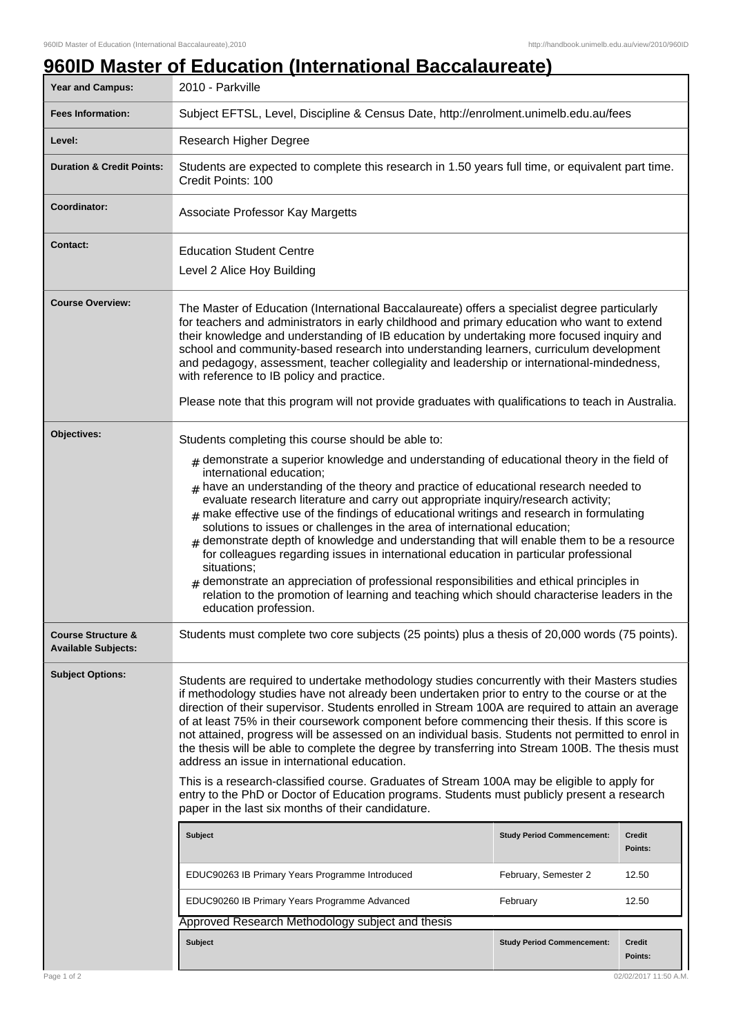## **960ID Master of Education (International Baccalaureate) Year and Campus:** 2010 - Parkville **Fees Information:** [Subject EFTSL, Level, Discipline & Census Date, http://enrolment.unimelb.edu.au/fees](http://enrolment.unimelb.edu.au/fees) Level: Research Higher Degree **Duration & Credit Points:** Students are expected to complete this research in 1.50 years full time, or equivalent part time. Credit Points: 100 **Coordinator:** Associate Professor Kay Margetts **Contact:** Education Student Centre Level 2 Alice Hoy Building **Course Overview:** The Master of Education (International Baccalaureate) offers a specialist degree particularly for teachers and administrators in early childhood and primary education who want to extend their knowledge and understanding of IB education by undertaking more focused inquiry and school and community-based research into understanding learners, curriculum development and pedagogy, assessment, teacher collegiality and leadership or international-mindedness, with reference to IB policy and practice. Please note that this program will not provide graduates with qualifications to teach in Australia. **Objectives:** Students completing this course should be able to:  ${}_{\#}$  demonstrate a superior knowledge and understanding of educational theory in the field of international education;  $#$  have an understanding of the theory and practice of educational research needed to evaluate research literature and carry out appropriate inquiry/research activity;  $<sub>\#</sub>$  make effective use of the findings of educational writings and research in formulating</sub> solutions to issues or challenges in the area of international education; # demonstrate depth of knowledge and understanding that will enable them to be a resource for colleagues regarding issues in international education in particular professional situations;  $*$  demonstrate an appreciation of professional responsibilities and ethical principles in relation to the promotion of learning and teaching which should characterise leaders in the education profession. **Course Structure & Available Subjects:** Students must complete two core subjects (25 points) plus a thesis of 20,000 words (75 points). **Subject Options:** Students are required to undertake methodology studies concurrently with their Masters studies if methodology studies have not already been undertaken prior to entry to the course or at the direction of their supervisor. Students enrolled in Stream 100A are required to attain an average of at least 75% in their coursework component before commencing their thesis. If this score is not attained, progress will be assessed on an individual basis. Students not permitted to enrol in the thesis will be able to complete the degree by transferring into Stream 100B. The thesis must address an issue in international education. This is a research-classified course. Graduates of Stream 100A may be eligible to apply for entry to the PhD or Doctor of Education programs. Students must publicly present a research paper in the last six months of their candidature. **Subject Study Period Commencement: Credit Points:** EDUC90263 IB Primary Years Programme Introduced February, Semester 2 12.50 EDUC90260 IB Primary Years Programme Advanced February February 12.50 Approved Research Methodology subject and thesis **Subject Study Period Commencement: Credit Points:**